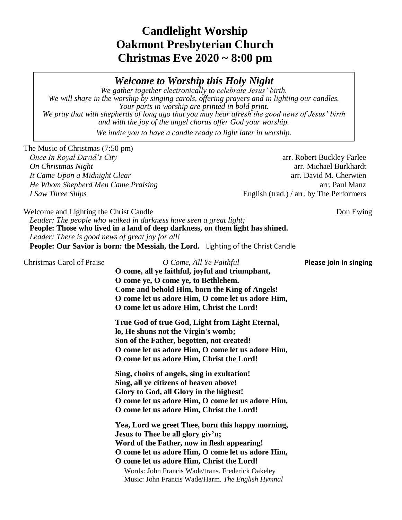# **Candlelight Worship Oakmont Presbyterian Church Christmas Eve 2020 ~ 8:00 pm**

*Welcome to Worship this Holy Night*

*We gather together electronically to celebrate Jesus' birth. We will share in the worship by singing carols, offering prayers and in lighting our candles. Your parts in worship are printed in bold print. We pray that with shepherds of long ago that you may hear afresh the good news of Jesus' birth and with the joy of the angel chorus offer God your worship.*

*We invite you to have a candle ready to light later in worship.*

The Music of Christmas (7:50 pm)

*It Came Upon a Midnight Clear* and the same of the same of the same of the same of the same of the same of the same of the same of the same of the same of the same of the same of the same of the same of the same of the sa *He Whom Shepherd Men Came Praising* **arrival in the same of the Shepherd Manz** arrival Manz *I Saw Three Ships* English (trad.) / arr. by The Performers

*Once In Royal David's City* and *City* arr. Robert Buckley Farlee *On Christmas Night* arr. Michael Burkhardt

Welcome and Lighting the Christ Candle Don Ewing Don Ewing *Leader: The people who walked in darkness have seen a great light;* **People: Those who lived in a land of deep darkness, on them light has shined.** *Leader: There is good news of great joy for all!* **People: Our Savior is born: the Messiah, the Lord.** Lighting of the Christ Candle

| Christmas Carol of Praise | O Come, All Ye Faithful<br>O come, all ye faithful, joyful and triumphant,<br>O come ye, O come ye, to Bethlehem.<br>Come and behold Him, born the King of Angels!<br>O come let us adore Him, O come let us adore Him,<br>O come let us adore Him, Christ the Lord!                                                                              | Please join in singing |
|---------------------------|---------------------------------------------------------------------------------------------------------------------------------------------------------------------------------------------------------------------------------------------------------------------------------------------------------------------------------------------------|------------------------|
|                           | True God of true God, Light from Light Eternal,<br>lo, He shuns not the Virgin's womb;<br>Son of the Father, begotten, not created!<br>O come let us adore Him, O come let us adore Him,<br>O come let us adore Him, Christ the Lord!                                                                                                             |                        |
|                           | Sing, choirs of angels, sing in exultation!<br>Sing, all ye citizens of heaven above!<br>Glory to God, all Glory in the highest!<br>O come let us adore Him, O come let us adore Him,<br>O come let us adore Him, Christ the Lord!                                                                                                                |                        |
|                           | Yea, Lord we greet Thee, born this happy morning,<br>Jesus to Thee be all glory giv'n;<br>Word of the Father, now in flesh appearing!<br>O come let us adore Him, O come let us adore Him,<br>O come let us adore Him, Christ the Lord!<br>Words: John Francis Wade/trans. Frederick Oakeley<br>Music: John Francis Wade/Harm. The English Hymnal |                        |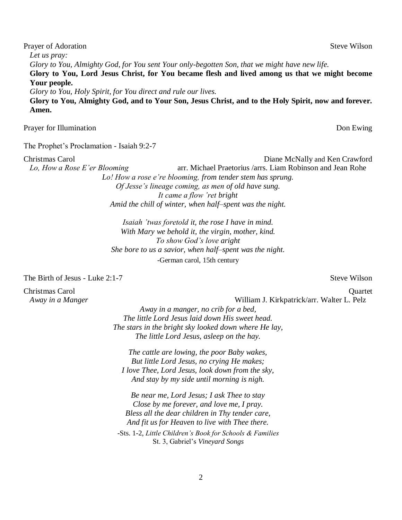Prayer of Adoration Steve Wilson *Let us pray: Glory to You, Almighty God, for You sent Your only-begotten Son, that we might have new life.* **Glory to You, Lord Jesus Christ, for You became flesh and lived among us that we might become Your people.** *Glory to You, Holy Spirit, for You direct and rule our lives.* **Glory to You, Almighty God, and to Your Son, Jesus Christ, and to the Holy Spirit, now and forever. Amen.**

Prayer for Illumination **Dom** Ewing

The Prophet's Proclamation - Isaiah 9:2-7

Christmas Carol Diane McNally and Ken Crawford *Lo, How a Rose E'er Blooming* arr. Michael Praetorius /arrs. Liam Robinson and Jean Rohe

*Lo! How a rose e're blooming, from tender stem has sprung. Of Jesse's lineage coming, as men of old have sung. It came a flow 'ret bright Amid the chill of winter, when half–spent was the night.*

*Isaiah 'twas foretold it, the rose I have in mind. With Mary we behold it, the virgin, mother, kind. To show God's love aright She bore to us a savior, when half–spent was the night.* -German carol, 15th century

The Birth of Jesus - Luke 2:1-7 Steve Wilson

Christmas Carol Quartet

*Away in a Manger* William J. Kirkpatrick/arr. Walter L. Pelz

*Away in a manger, no crib for a bed, The little Lord Jesus laid down His sweet head. The stars in the bright sky looked down where He lay, The little Lord Jesus, asleep on the hay.*

*The cattle are lowing, the poor Baby wakes, But little Lord Jesus, no crying He makes; I love Thee, Lord Jesus, look down from the sky, And stay by my side until morning is nigh.*

*Be near me, Lord Jesus; I ask Thee to stay Close by me forever, and love me, I pray. Bless all the dear children in Thy tender care, And fit us for Heaven to live with Thee there.*

-Sts. 1-2, *Little Children's Book for Schools & Families* St. 3, Gabriel's *Vineyard Songs*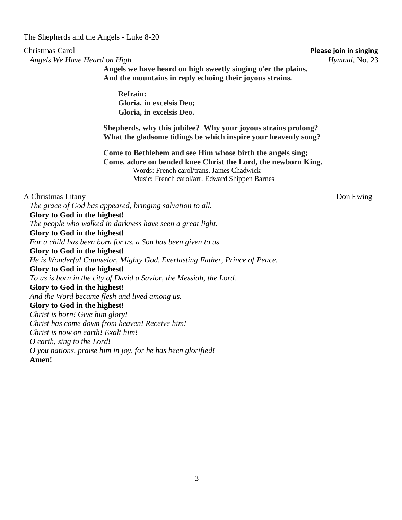The Shepherds and the Angels - Luke 8-20

*Angels We Have Heard on High Hymnal*, No. 23

Christmas Carol **Please join in singing**

**Angels we have heard on high sweetly singing o'er the plains, And the mountains in reply echoing their joyous strains.**

**Refrain: Gloria, in excelsis Deo; Gloria, in excelsis Deo.**

**Shepherds, why this jubilee? Why your joyous strains prolong? What the gladsome tidings be which inspire your heavenly song?**

**Come to Bethlehem and see Him whose birth the angels sing; Come, adore on bended knee Christ the Lord, the newborn King.** Words: French carol/trans. James Chadwick Music: French carol/arr. Edward Shippen Barnes

A Christmas Litany Don Ewing *The grace of God has appeared, bringing salvation to all.* **Glory to God in the highest!** *The people who walked in darkness have seen a great light.* **Glory to God in the highest!** *For a child has been born for us, a Son has been given to us.* **Glory to God in the highest!** *He is Wonderful Counselor, Mighty God, Everlasting Father, Prince of Peace.* **Glory to God in the highest!** *To us is born in the city of David a Savior, the Messiah, the Lord.* **Glory to God in the highest!** *And the Word became flesh and lived among us.* **Glory to God in the highest!** *Christ is born! Give him glory! Christ has come down from heaven! Receive him! Christ is now on earth! Exalt him! O earth, sing to the Lord! O you nations, praise him in joy, for he has been glorified!* **Amen!**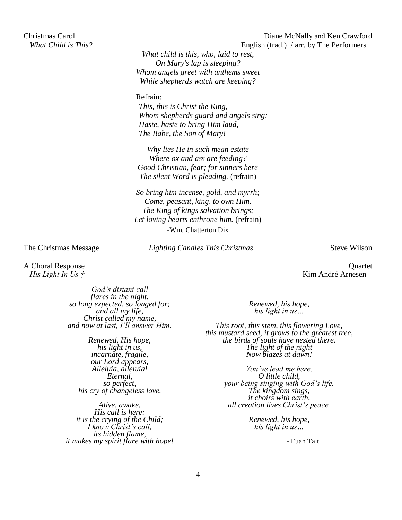*What child is this, who, laid to rest, On Mary's lap is sleeping? Whom angels greet with anthems sweet While shepherds watch are keeping?*

Refrain:

*This, this is Christ the King, Whom shepherds guard and angels sing; Haste, haste to bring Him laud, The Babe, the Son of Mary!*

*Why lies He in such mean estate Where ox and ass are feeding? Good Christian, fear; for sinners here The silent Word is pleading.* (refrain)

*So bring him incense, gold, and myrrh; Come, peasant, king, to own Him. The King of kings salvation brings; Let loving hearts enthrone him.* (refrain) -Wm. Chatterton Dix

The Christmas Message *Lighting Candles This Christmas* Steve Wilson

A Choral Response Quartet *His Light In Us †* Kim André Arnesen

> *God's distant call flares in the night, so long expected, so longed for; and all my life, Christ called my name, and now at last, I'll answer Him.*

> > *Renewed, His hope, his light in us, incarnate, fragile, our Lord appears, Alleluia, alleluia! Eternal, so perfect, his cry of changeless love.*

*Alive, awake, His call is here: it is the crying of the Child; I know Christ's call, its hidden flame, it makes my spirit flare with hope!* *Renewed, his hope, his light in us…*

*This root, this stem, this flowering Love, this mustard seed, it grows to the greatest tree, the birds of souls have nested there. The light of the night Now blazes at dawn!*

> *You've lead me here, O little child, your being singing with God's life. The kingdom sings, it choirs with earth, all creation lives Christ's peace.*

> > *Renewed, his hope, his light in us…*

> > > - Euan Tait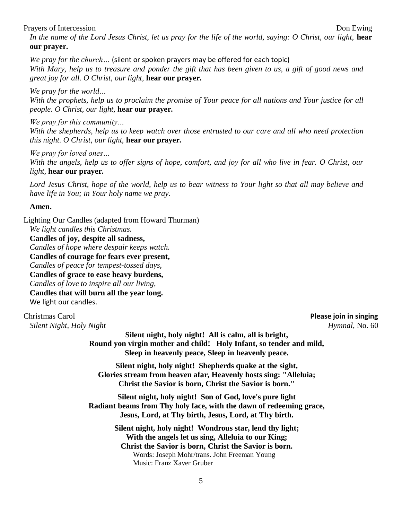### Prayers of Intercession Don Ewing

*In the name of the Lord Jesus Christ, let us pray for the life of the world, saying: O Christ, our light,* **hear our prayer.**

*We pray for the church…* (silent or spoken prayers may be offered for each topic) *With Mary, help us to treasure and ponder the gift that has been given to us, a gift of good news and great joy for all. O Christ, our light,* **hear our prayer.**

*We pray for the world…*

*With the prophets, help us to proclaim the promise of Your peace for all nations and Your justice for all people. O Christ, our light,* **hear our prayer.**

*We pray for this community…*

*With the shepherds, help us to keep watch over those entrusted to our care and all who need protection this night. O Christ, our light,* **hear our prayer.**

*We pray for loved ones…*

*With the angels, help us to offer signs of hope, comfort, and joy for all who live in fear. O Christ, our light,* **hear our prayer.**

*Lord Jesus Christ, hope of the world, help us to bear witness to Your light so that all may believe and have life in You; in Your holy name we pray.* 

### **Amen.**

Lighting Our Candles (adapted from Howard Thurman) *We light candles this Christmas.* **Candles of joy, despite all sadness,** *Candles of hope where despair keeps watch.* **Candles of courage for fears ever present,** *Candles of peace for tempest-tossed days,* **Candles of grace to ease heavy burdens,** *Candles of love to inspire all our living,* **Candles that will burn all the year long.** We light our candles.

Christmas Carol **Please join in singing** *Silent Night, Holy Night Hymnal*, No. 60

**Silent night, holy night! All is calm, all is bright, Round yon virgin mother and child! Holy Infant, so tender and mild, Sleep in heavenly peace, Sleep in heavenly peace.**

**Silent night, holy night! Shepherds quake at the sight, Glories stream from heaven afar, Heavenly hosts sing: "Alleluia; Christ the Savior is born, Christ the Savior is born."**

**Silent night, holy night! Son of God, love's pure light Radiant beams from Thy holy face, with the dawn of redeeming grace, Jesus, Lord, at Thy birth, Jesus, Lord, at Thy birth.**

> **Silent night, holy night! Wondrous star, lend thy light; With the angels let us sing, Alleluia to our King; Christ the Savior is born, Christ the Savior is born.** Words: Joseph Mohr/trans. John Freeman Young Music: Franz Xaver Gruber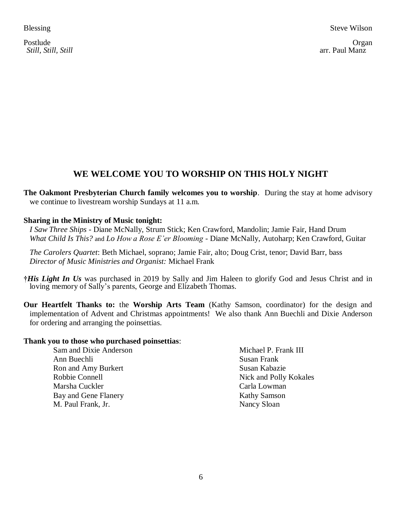Postlude **Organ** *Still, Still, Still* arr. Paul Manz

# **WE WELCOME YOU TO WORSHIP ON THIS HOLY NIGHT**

**The Oakmont Presbyterian Church family welcomes you to worship**. During the stay at home advisory we continue to livestream worship Sundays at 11 a.m.

### **Sharing in the Ministry of Music tonight:**

*I Saw Three Ships* - Diane McNally, Strum Stick; Ken Crawford, Mandolin; Jamie Fair, Hand Drum *What Child Is This?* and *Lo How a Rose E'er Blooming* - Diane McNally, Autoharp; Ken Crawford, Guitar

*The Carolers Quartet*: Beth Michael, soprano; Jamie Fair, alto; Doug Crist, tenor; David Barr, bass *Director of Music Ministries and Organist:* Michael Frank

**†***His Light In Us* was purchased in 2019 by Sally and Jim Haleen to glorify God and Jesus Christ and in loving memory of Sally's parents, George and Elizabeth Thomas.

**Our Heartfelt Thanks to:** the **Worship Arts Team** (Kathy Samson, coordinator) for the design and implementation of Advent and Christmas appointments! We also thank Ann Buechli and Dixie Anderson for ordering and arranging the poinsettias.

### **Thank you to those who purchased poinsettias**:

| Sam and Dixie Anderson | Michael P. Frank III   |
|------------------------|------------------------|
| Ann Buechli            | Susan Frank            |
| Ron and Amy Burkert    | Susan Kabazie          |
| Robbie Connell         | Nick and Polly Kokales |
| Marsha Cuckler         | Carla Lowman           |
| Bay and Gene Flanery   | <b>Kathy Samson</b>    |
| M. Paul Frank, Jr.     | Nancy Sloan            |